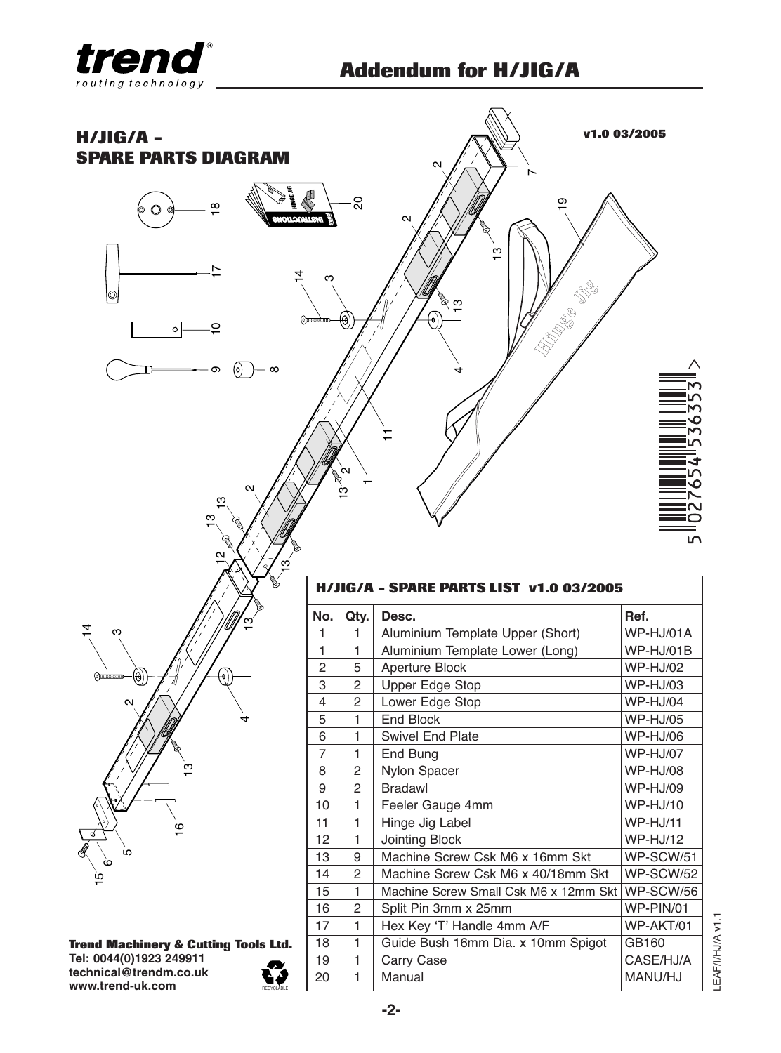



**technical@trendm.co.uk www.trend-uk.com**



20 1 Manual MANU/HJ

LEAF/I/HJ/A v1.1

EAF/I/HJ/A v1.1